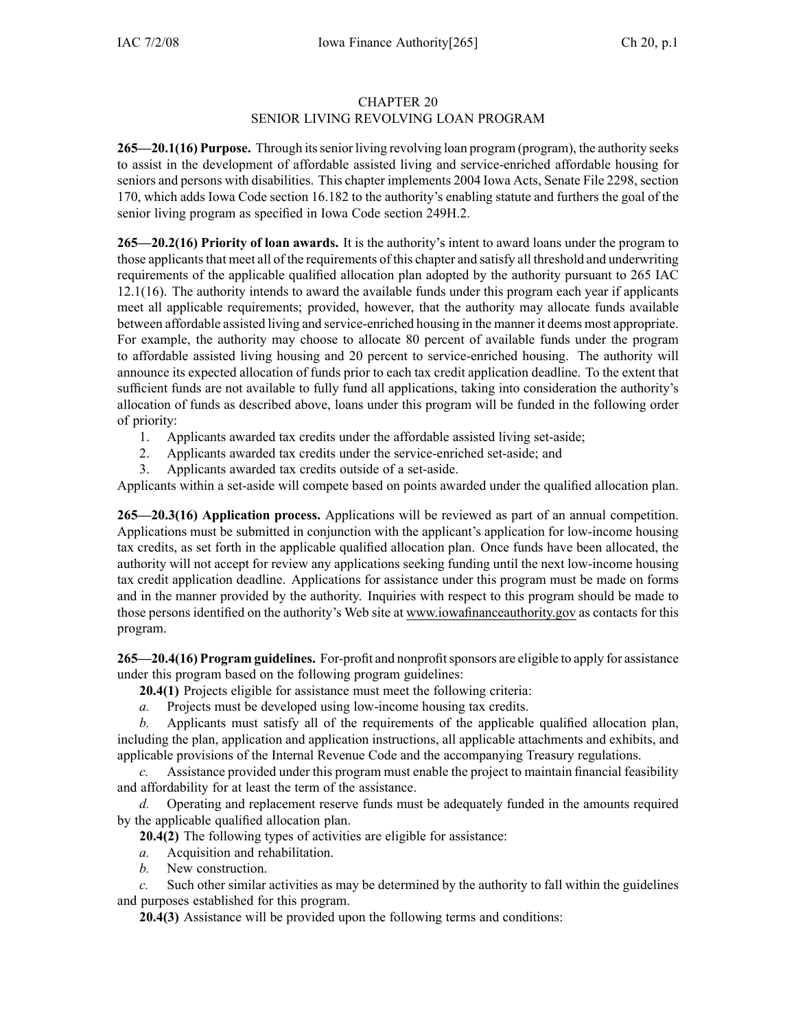## CHAPTER 20 SENIOR LIVING REVOLVING LOAN PROGRAM

**265—20.1(16) Purpose.** Through itssenior living revolving loan program (program), the authority seeks to assist in the development of affordable assisted living and service-enriched affordable housing for seniors and persons with disabilities. This chapter implements 2004 Iowa Acts, Senate File 2298, section 170, which adds Iowa Code section 16.182 to the authority's enabling statute and furthers the goal of the senior living program as specified in Iowa Code section 249H.2.

**265—20.2(16) Priority of loan awards.** It is the authority's intent to award loans under the program to those applicants that meet all of the requirements of this chapter and satisfy all threshold and underwriting requirements of the applicable qualified allocation plan adopted by the authority pursuan<sup>t</sup> to 265 IAC 12.1(16). The authority intends to award the available funds under this program each year if applicants meet all applicable requirements; provided, however, that the authority may allocate funds available between affordable assisted living and service-enriched housing in the manner it deems most appropriate. For example, the authority may choose to allocate 80 percen<sup>t</sup> of available funds under the program to affordable assisted living housing and 20 percen<sup>t</sup> to service-enriched housing. The authority will announce its expected allocation of funds prior to each tax credit application deadline. To the extent that sufficient funds are not available to fully fund all applications, taking into consideration the authority's allocation of funds as described above, loans under this program will be funded in the following order of priority:

- 1. Applicants awarded tax credits under the affordable assisted living set-aside;
- 2. Applicants awarded tax credits under the service-enriched set-aside; and
- 3. Applicants awarded tax credits outside of <sup>a</sup> set-aside.

Applicants within <sup>a</sup> set-aside will compete based on points awarded under the qualified allocation plan.

**265—20.3(16) Application process.** Applications will be reviewed as par<sup>t</sup> of an annual competition. Applications must be submitted in conjunction with the applicant's application for low-income housing tax credits, as set forth in the applicable qualified allocation plan. Once funds have been allocated, the authority will not accep<sup>t</sup> for review any applications seeking funding until the next low-income housing tax credit application deadline. Applications for assistance under this program must be made on forms and in the manner provided by the authority. Inquiries with respec<sup>t</sup> to this program should be made to those persons identified on the authority's Web site at www.iowafinanceauthority.gov as contacts for this program.

**265—20.4(16) Program guidelines.** For-profit and nonprofitsponsors are eligible to apply for assistance under this program based on the following program guidelines:

**20.4(1)** Projects eligible for assistance must meet the following criteria:

*a.* Projects must be developed using low-income housing tax credits.

*b.* Applicants must satisfy all of the requirements of the applicable qualified allocation plan, including the plan, application and application instructions, all applicable attachments and exhibits, and applicable provisions of the Internal Revenue Code and the accompanying Treasury regulations.

*c.* Assistance provided under this program must enable the project to maintain financial feasibility and affordability for at least the term of the assistance.

*d.* Operating and replacement reserve funds must be adequately funded in the amounts required by the applicable qualified allocation plan.

**20.4(2)** The following types of activities are eligible for assistance:

- *a.* Acquisition and rehabilitation.
- *b.* New construction.

*c.* Such other similar activities as may be determined by the authority to fall within the guidelines and purposes established for this program.

**20.4(3)** Assistance will be provided upon the following terms and conditions: